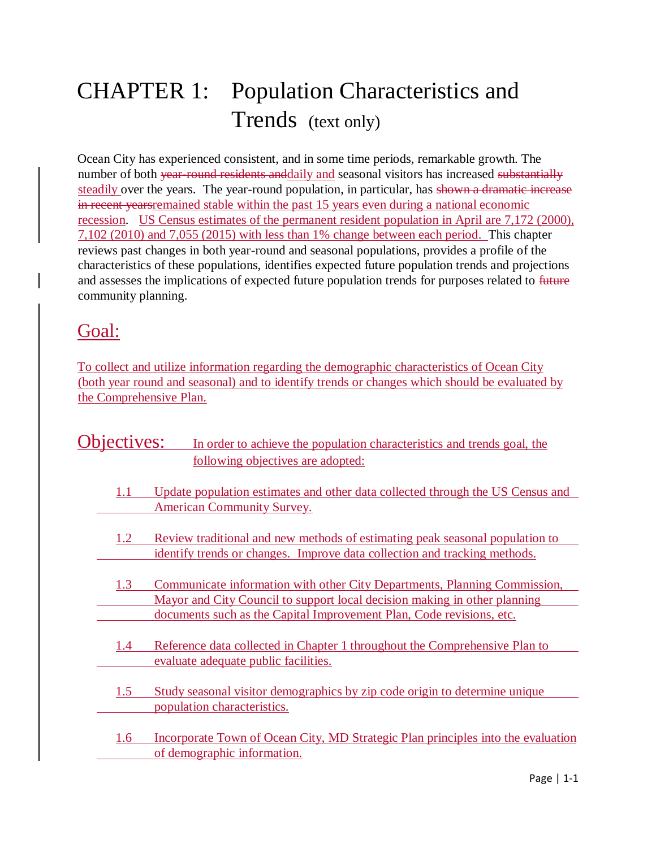# CHAPTER 1: Population Characteristics and Trends (text only)

Ocean City has experienced consistent, and in some time periods, remarkable growth. The number of both year-round residents and daily and seasonal visitors has increased substantially steadily over the years. The year-round population, in particular, has shown a dramatic increase in recent yearsremained stable within the past 15 years even during a national economic recession. US Census estimates of the permanent resident population in April are 7,172 (2000), 7,102 (2010) and 7,055 (2015) with less than 1% change between each period. This chapter reviews past changes in both year-round and seasonal populations, provides a profile of the characteristics of these populations, identifies expected future population trends and projections and assesses the implications of expected future population trends for purposes related to future community planning.

# Goal:

To collect and utilize information regarding the demographic characteristics of Ocean City (both year round and seasonal) and to identify trends or changes which should be evaluated by the Comprehensive Plan.

|     | jectives:<br>In order to achieve the population characteristics and trends goal, the                            |
|-----|-----------------------------------------------------------------------------------------------------------------|
|     | following objectives are adopted:                                                                               |
|     |                                                                                                                 |
| 1.1 | Update population estimates and other data collected through the US Census and                                  |
|     | <b>American Community Survey.</b>                                                                               |
| 1.2 | Review traditional and new methods of estimating peak seasonal population to                                    |
|     | identify trends or changes. Improve data collection and tracking methods.                                       |
| 1.3 | Communicate information with other City Departments, Planning Commission,                                       |
|     | Mayor and City Council to support local decision making in other planning                                       |
|     | documents such as the Capital Improvement Plan, Code revisions, etc.                                            |
|     |                                                                                                                 |
| 1.4 | Reference data collected in Chapter 1 throughout the Comprehensive Plan to                                      |
|     | evaluate adequate public facilities.                                                                            |
| 1.5 | Study seasonal visitor demographics by zip code origin to determine unique                                      |
|     | population characteristics.                                                                                     |
|     |                                                                                                                 |
| 1.6 | Incorporate Town of Ocean City, MD Strategic Plan principles into the evaluation<br>of demographic information. |
|     |                                                                                                                 |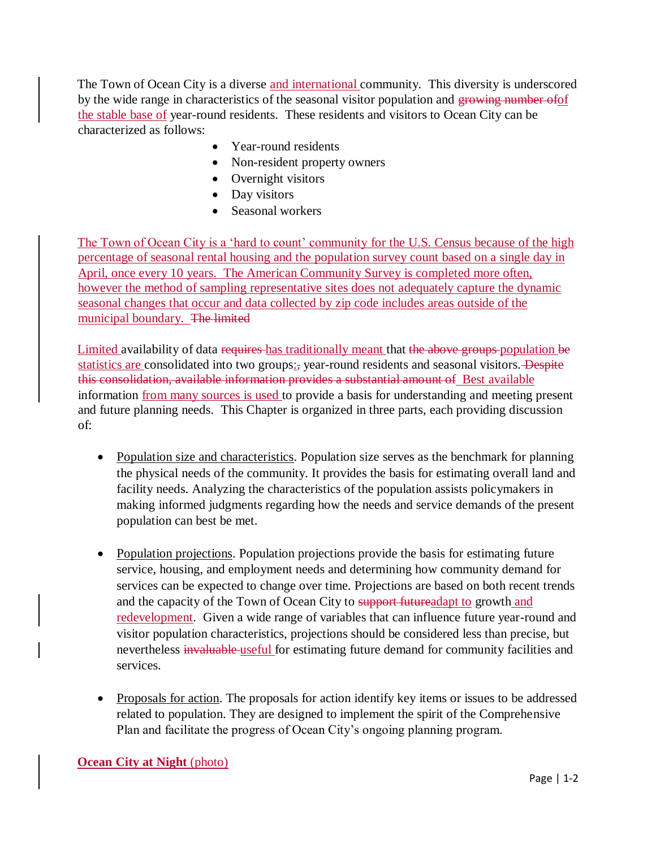The Town of Ocean City is a diverse and international community. This diversity is underscored by the wide range in characteristics of the seasonal visitor population and growing number of of the stable base of year-round residents. These residents and visitors to Ocean City can be characterized as follows:

- Year-round residents
- Non-resident property owners
- Overnight visitors
- Day visitors
- Seasonal workers

The Town of Ocean City is a 'hard to count' community for the U.S. Census because of the high percentage of seasonal rental housing and the population survey count based on a single day in April, once every 10 years. The American Community Survey is completed more often, however the method of sampling representative sites does not adequately capture the dynamic seasonal changes that occur and data collected by zip code includes areas outside of the municipal boundary. The limited

Limited availability of data requires has traditionally meant that the above groups population be statistics are consolidated into two groups: year-round residents and seasonal visitors. Despite this consolidation, available information provides a substantial amount of Best available information from many sources is used to provide a basis for understanding and meeting present and future planning needs. This Chapter is organized in three parts, each providing discussion of:

- Population size and characteristics. Population size serves as the benchmark for planning the physical needs of the community. It provides the basis for estimating overall land and facility needs. Analyzing the characteristics of the population assists policymakers in making informed judgments regarding how the needs and service demands of the present population can best be met.
- Population projections. Population projections provide the basis for estimating future service, housing, and employment needs and determining how community demand for services can be expected to change over time. Projections are based on both recent trends and the capacity of the Town of Ocean City to support future adapt to growth and redevelopment. Given a wide range of variables that can influence future year-round and visitor population characteristics, projections should be considered less than precise, but nevertheless invaluable useful for estimating future demand for community facilities and services.
- Proposals for action. The proposals for action identify key items or issues to be addressed related to population. They are designed to implement the spirit of the Comprehensive Plan and facilitate the progress of Ocean City's ongoing planning program.

#### **Ocean City at Night** (photo)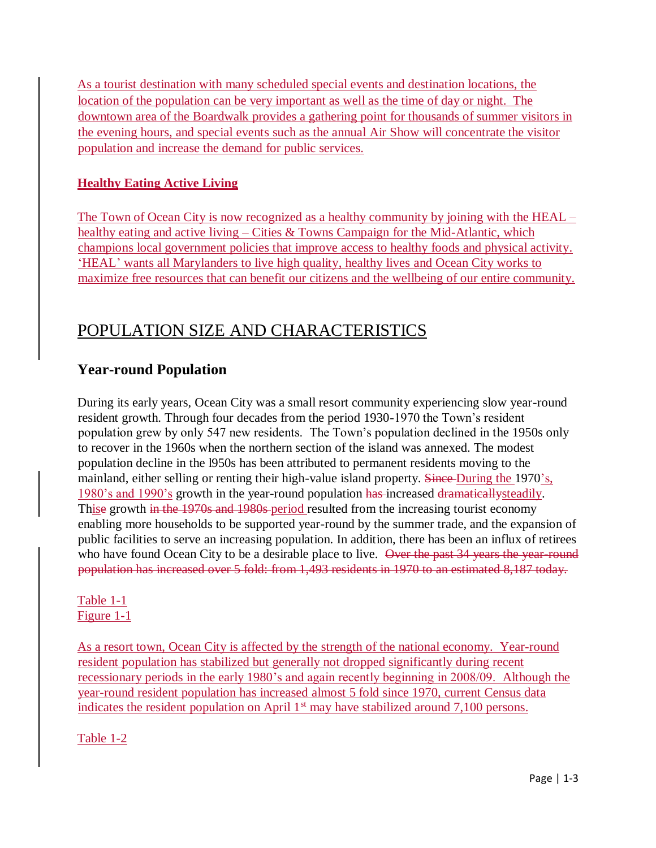As a tourist destination with many scheduled special events and destination locations, the location of the population can be very important as well as the time of day or night. The downtown area of the Boardwalk provides a gathering point for thousands of summer visitors in the evening hours, and special events such as the annual Air Show will concentrate the visitor population and increase the demand for public services.

#### **Healthy Eating Active Living**

The Town of Ocean City is now recognized as a healthy community by joining with the HEAL – healthy eating and active living – Cities & Towns Campaign for the Mid-Atlantic, which champions local government policies that improve access to healthy foods and physical activity. 'HEAL' wants all Marylanders to live high quality, healthy lives and Ocean City works to maximize free resources that can benefit our citizens and the wellbeing of our entire community.

# POPULATION SIZE AND CHARACTERISTICS

# **Year-round Population**

During its early years, Ocean City was a small resort community experiencing slow year-round resident growth. Through four decades from the period 1930-1970 the Town's resident population grew by only 547 new residents. The Town's population declined in the 1950s only to recover in the 1960s when the northern section of the island was annexed. The modest population decline in the l950s has been attributed to permanent residents moving to the mainland, either selling or renting their high-value island property. Since During the 1970's, 1980's and 1990's growth in the year-round population has increased dramaticallysteadily. Thise growth in the 1970s and 1980s period resulted from the increasing tourist economy enabling more households to be supported year-round by the summer trade, and the expansion of public facilities to serve an increasing population. In addition, there has been an influx of retirees who have found Ocean City to be a desirable place to live. Over the past 34 years the year-round population has increased over 5 fold: from 1,493 residents in 1970 to an estimated 8,187 today.

#### Table 1-1 Figure 1-1

As a resort town, Ocean City is affected by the strength of the national economy. Year-round resident population has stabilized but generally not dropped significantly during recent recessionary periods in the early 1980's and again recently beginning in 2008/09. Although the year-round resident population has increased almost 5 fold since 1970, current Census data indicates the resident population on April  $1<sup>st</sup>$  may have stabilized around 7,100 persons.

Table 1-2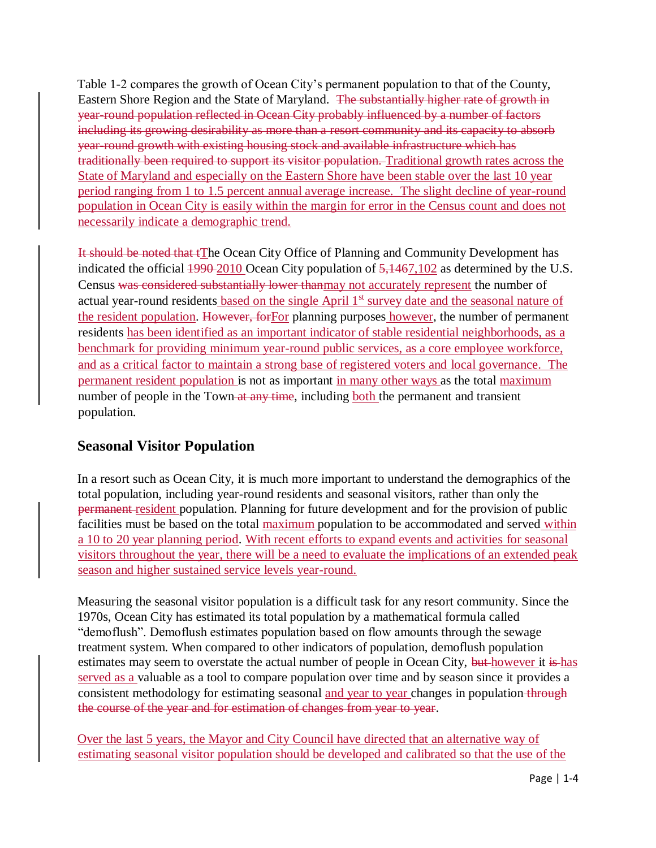Table 1-2 compares the growth of Ocean City's permanent population to that of the County, Eastern Shore Region and the State of Maryland. The substantially higher rate of growth in year-round population reflected in Ocean City probably influenced by a number of factors including its growing desirability as more than a resort community and its capacity to absorb year-round growth with existing housing stock and available infrastructure which has traditionally been required to support its visitor population. Traditional growth rates across the State of Maryland and especially on the Eastern Shore have been stable over the last 10 year period ranging from 1 to 1.5 percent annual average increase. The slight decline of year-round population in Ocean City is easily within the margin for error in the Census count and does not necessarily indicate a demographic trend.

It should be noted that tThe Ocean City Office of Planning and Community Development has indicated the official  $\frac{1990\cdot 2010}{2000}$  Ocean City population of  $\frac{5,1467,102}{2}$  as determined by the U.S. Census was considered substantially lower thanmay not accurately represent the number of actual year-round residents based on the single April 1<sup>st</sup> survey date and the seasonal nature of the resident population. However, forFor planning purposes however, the number of permanent residents has been identified as an important indicator of stable residential neighborhoods, as a benchmark for providing minimum year-round public services, as a core employee workforce, and as a critical factor to maintain a strong base of registered voters and local governance. The permanent resident population is not as important in many other ways as the total maximum number of people in the Town at any time, including both the permanent and transient population.

## **Seasonal Visitor Population**

In a resort such as Ocean City, it is much more important to understand the demographics of the total population, including year-round residents and seasonal visitors, rather than only the permanent resident population. Planning for future development and for the provision of public facilities must be based on the total maximum population to be accommodated and served within a 10 to 20 year planning period. With recent efforts to expand events and activities for seasonal visitors throughout the year, there will be a need to evaluate the implications of an extended peak season and higher sustained service levels year-round.

Measuring the seasonal visitor population is a difficult task for any resort community. Since the 1970s, Ocean City has estimated its total population by a mathematical formula called "demoflush". Demoflush estimates population based on flow amounts through the sewage treatment system. When compared to other indicators of population, demoflush population estimates may seem to overstate the actual number of people in Ocean City, but however it is has served as a valuable as a tool to compare population over time and by season since it provides a consistent methodology for estimating seasonal and year to year changes in population through the course of the year and for estimation of changes from year to year.

Over the last 5 years, the Mayor and City Council have directed that an alternative way of estimating seasonal visitor population should be developed and calibrated so that the use of the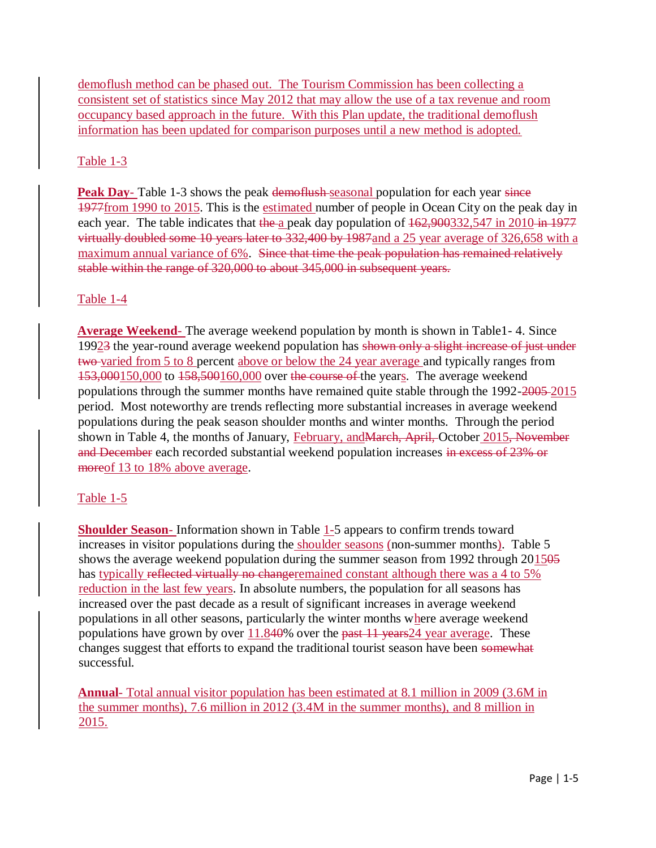demoflush method can be phased out. The Tourism Commission has been collecting a consistent set of statistics since May 2012 that may allow the use of a tax revenue and room occupancy based approach in the future. With this Plan update, the traditional demoflush information has been updated for comparison purposes until a new method is adopted.

#### Table 1-3

**Peak Day**- Table 1-3 shows the peak demoflush seasonal population for each year since 1977from 1990 to 2015. This is the estimated number of people in Ocean City on the peak day in each year. The table indicates that the a peak day population of  $162,900332,547$  in 2010 in  $1977$ virtually doubled some 10 years later to 332,400 by 1987and a 25 year average of 326,658 with a maximum annual variance of 6%. Since that time the peak population has remained relatively stable within the range of 320,000 to about 345,000 in subsequent years.

#### Table 1-4

**Average Weekend**- The average weekend population by month is shown in Table1- 4. Since 199 $2\frac{3}{3}$  the year-round average weekend population has shown only a slight increase of just under two varied from 5 to 8 percent above or below the 24 year average and typically ranges from 153,000150,000 to 158,500160,000 over the course of the years. The average weekend populations through the summer months have remained quite stable through the 1992-2005 2015 period. Most noteworthy are trends reflecting more substantial increases in average weekend populations during the peak season shoulder months and winter months. Through the period shown in Table 4, the months of January, February, and March, April, October 2015, November and December each recorded substantial weekend population increases in excess of 23% or moreof 13 to 18% above average.

#### Table 1-5

**Shoulder Season-** Information shown in Table 1-5 appears to confirm trends toward increases in visitor populations during the shoulder seasons (non-summer months). Table 5 shows the average weekend population during the summer season from 1992 through  $201505$ has typically reflected virtually no changeremained constant although there was a 4 to 5% reduction in the last few years. In absolute numbers, the population for all seasons has increased over the past decade as a result of significant increases in average weekend populations in all other seasons, particularly the winter months where average weekend populations have grown by over  $11.840\%$  over the past 11 years  $24$  year average. These changes suggest that efforts to expand the traditional tourist season have been somewhat successful.

**Annual**- Total annual visitor population has been estimated at 8.1 million in 2009 (3.6M in the summer months), 7.6 million in 2012 (3.4M in the summer months), and 8 million in 2015.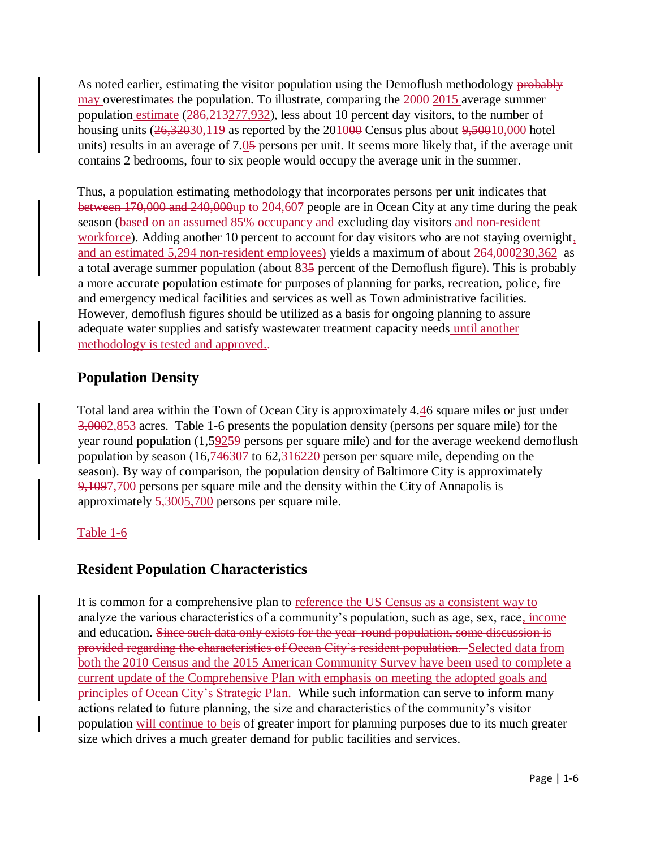As noted earlier, estimating the visitor population using the Demoflush methodology probably may overestimates the population. To illustrate, comparing the  $2000-2015$  average summer population estimate (286,213277,932), less about 10 percent day visitors, to the number of housing units  $(26,32030,119)$  as reported by the  $201000$  Census plus about  $9,50010,000$  hotel units) results in an average of 7.05 persons per unit. It seems more likely that, if the average unit contains 2 bedrooms, four to six people would occupy the average unit in the summer.

Thus, a population estimating methodology that incorporates persons per unit indicates that between 170,000 and 240,000up to 204,607 people are in Ocean City at any time during the peak season (based on an assumed 85% occupancy and excluding day visitors and non-resident workforce). Adding another 10 percent to account for day visitors who are not staying overnight, and an estimated 5,294 non-resident employees) yields a maximum of about 264,000230,362 as a total average summer population (about  $83\frac{5}{9}$  percent of the Demoflush figure). This is probably a more accurate population estimate for purposes of planning for parks, recreation, police, fire and emergency medical facilities and services as well as Town administrative facilities. However, demoflush figures should be utilized as a basis for ongoing planning to assure adequate water supplies and satisfy wastewater treatment capacity needs until another methodology is tested and approved..

## **Population Density**

Total land area within the Town of Ocean City is approximately 4.46 square miles or just under 3,0002,853 acres. Table 1-6 presents the population density (persons per square mile) for the year round population (1,59259 persons per square mile) and for the average weekend demoflush population by season (16,746307 to 62,316220 person per square mile, depending on the season). By way of comparison, the population density of Baltimore City is approximately 9,1097,700 persons per square mile and the density within the City of Annapolis is approximately 5,3005,700 persons per square mile.

#### Table 1-6

## **Resident Population Characteristics**

It is common for a comprehensive plan to reference the US Census as a consistent way to analyze the various characteristics of a community's population, such as age, sex, race, income and education. Since such data only exists for the year-round population, some discussion is provided regarding the characteristics of Ocean City's resident population. Selected data from both the 2010 Census and the 2015 American Community Survey have been used to complete a current update of the Comprehensive Plan with emphasis on meeting the adopted goals and principles of Ocean City's Strategic Plan. While such information can serve to inform many actions related to future planning, the size and characteristics of the community's visitor population will continue to beis of greater import for planning purposes due to its much greater size which drives a much greater demand for public facilities and services.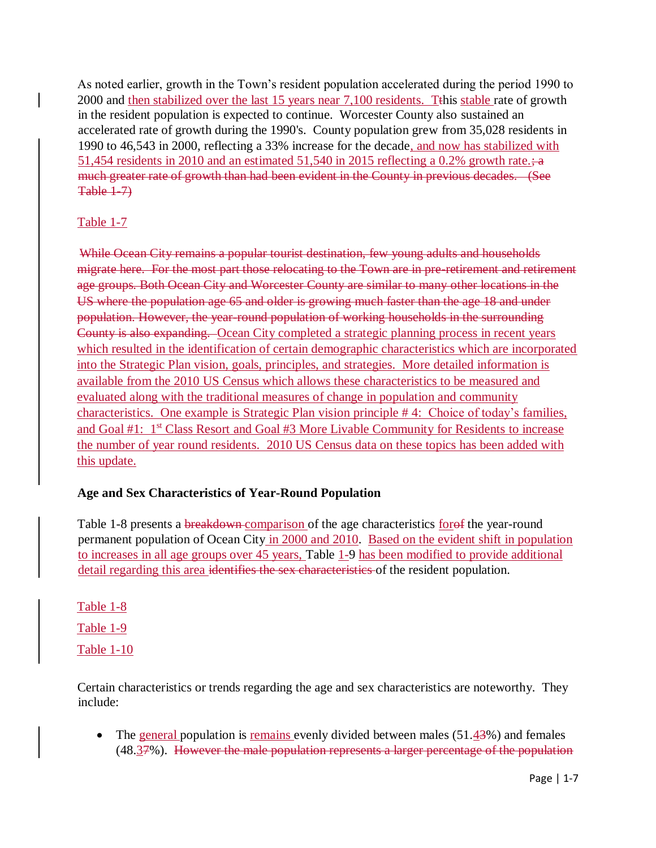As noted earlier, growth in the Town's resident population accelerated during the period 1990 to 2000 and then stabilized over the last 15 years near 7,100 residents. Tthis stable rate of growth in the resident population is expected to continue. Worcester County also sustained an accelerated rate of growth during the 1990's. County population grew from 35,028 residents in 1990 to 46,543 in 2000, reflecting a 33% increase for the decade, and now has stabilized with 51,454 residents in 2010 and an estimated 51,540 in 2015 reflecting a 0.2% growth rate.;  $\frac{1}{2}$ much greater rate of growth than had been evident in the County in previous decades. (See Table 1-7)

#### Table 1-7

While Ocean City remains a popular tourist destination, few young adults and households migrate here. For the most part those relocating to the Town are in pre-retirement and retirement age groups. Both Ocean City and Worcester County are similar to many other locations in the US where the population age 65 and older is growing much faster than the age 18 and under population. However, the year-round population of working households in the surrounding County is also expanding. Ocean City completed a strategic planning process in recent years which resulted in the identification of certain demographic characteristics which are incorporated into the Strategic Plan vision, goals, principles, and strategies. More detailed information is available from the 2010 US Census which allows these characteristics to be measured and evaluated along with the traditional measures of change in population and community characteristics. One example is Strategic Plan vision principle # 4: Choice of today's families, and Goal #1: 1<sup>st</sup> Class Resort and Goal #3 More Livable Community for Residents to increase the number of year round residents. 2010 US Census data on these topics has been added with this update.

#### **Age and Sex Characteristics of Year-Round Population**

Table 1-8 presents a breakdown comparison of the age characteristics for of the year-round permanent population of Ocean City in 2000 and 2010. Based on the evident shift in population to increases in all age groups over 45 years, Table 1-9 has been modified to provide additional detail regarding this area identifies the sex characteristics of the resident population.

Table 1-8 Table 1-9 Table 1-10

Certain characteristics or trends regarding the age and sex characteristics are noteworthy. They include:

• The general population is remains evenly divided between males  $(51.43%)$  and females (48.37%). However the male population represents a larger percentage of the population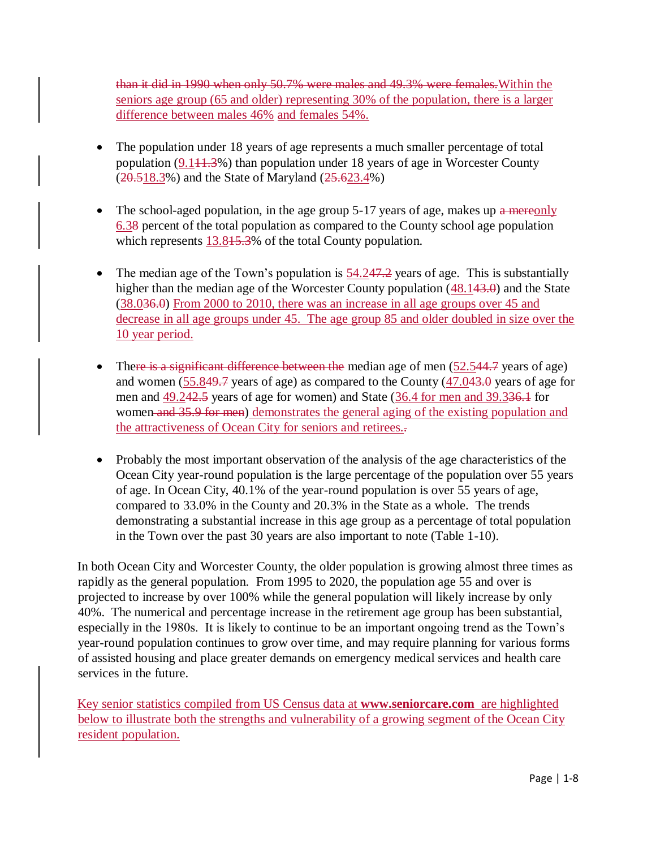than it did in 1990 when only 50.7% were males and 49.3% were females.Within the seniors age group (65 and older) representing 30% of the population, there is a larger difference between males 46% and females 54%.

- The population under 18 years of age represents a much smaller percentage of total population  $(9.11.3\%)$  than population under 18 years of age in Worcester County (20.518.3%) and the State of Maryland (25.623.4%)
- The school-aged population, in the age group  $5-17$  years of age, makes up a mereonly 6.38 percent of the total population as compared to the County school age population which represents 13.845.3% of the total County population.
- The median age of the Town's population is  $54.247.2$  years of age. This is substantially higher than the median age of the Worcester County population (48.143.0) and the State (38.036.0) From 2000 to 2010, there was an increase in all age groups over 45 and decrease in all age groups under 45. The age group 85 and older doubled in size over the 10 year period.
- There is a significant difference between the median age of men  $(52.544.7 \text{ years of age})$ and women  $(55.849.7 \text{ years of age})$  as compared to the County  $(47.043.0 \text{ years of age for }$ men and 49.242.5 years of age for women) and State (36.4 for men and 39.336.1 for women and 35.9 for men) demonstrates the general aging of the existing population and the attractiveness of Ocean City for seniors and retirees..
- Probably the most important observation of the analysis of the age characteristics of the Ocean City year-round population is the large percentage of the population over 55 years of age. In Ocean City, 40.1% of the year-round population is over 55 years of age, compared to 33.0% in the County and 20.3% in the State as a whole. The trends demonstrating a substantial increase in this age group as a percentage of total population in the Town over the past 30 years are also important to note (Table 1-10).

In both Ocean City and Worcester County, the older population is growing almost three times as rapidly as the general population. From 1995 to 2020, the population age 55 and over is projected to increase by over 100% while the general population will likely increase by only 40%. The numerical and percentage increase in the retirement age group has been substantial, especially in the 1980s. It is likely to continue to be an important ongoing trend as the Town's year-round population continues to grow over time, and may require planning for various forms of assisted housing and place greater demands on emergency medical services and health care services in the future.

Key senior statistics compiled from US Census data at **[www.seniorcare.com](http://www.seniorcare.com/)** are highlighted below to illustrate both the strengths and vulnerability of a growing segment of the Ocean City resident population.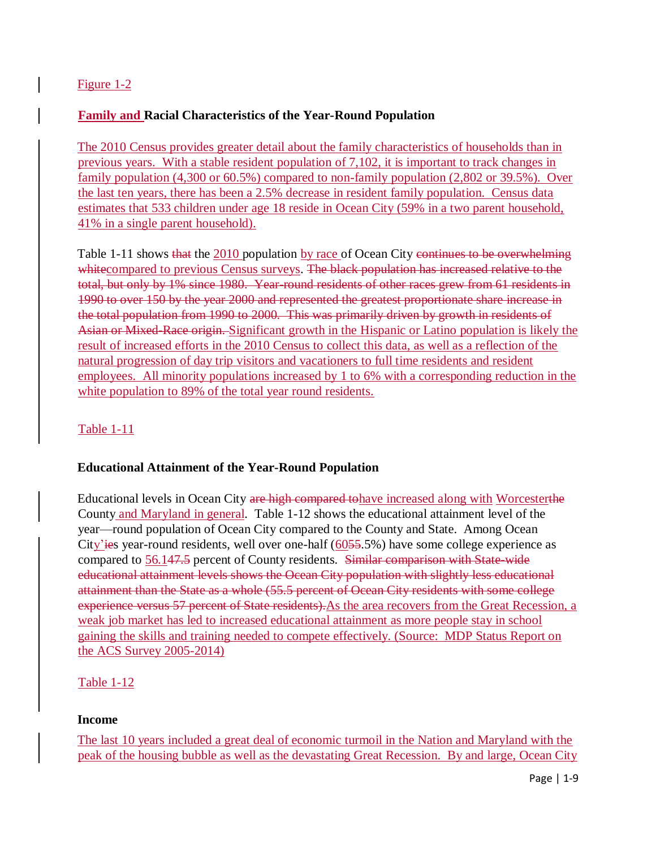#### Figure 1-2

#### **Family and Racial Characteristics of the Year-Round Population**

The 2010 Census provides greater detail about the family characteristics of households than in previous years. With a stable resident population of 7,102, it is important to track changes in family population (4,300 or 60.5%) compared to non-family population (2,802 or 39.5%). Over the last ten years, there has been a 2.5% decrease in resident family population. Census data estimates that 533 children under age 18 reside in Ocean City (59% in a two parent household, 41% in a single parent household).

Table 1-11 shows that the 2010 population by race of Ocean City continues to be overwhelming whitecompared to previous Census surveys. The black population has increased relative to the total, but only by 1% since 1980. Year-round residents of other races grew from 61 residents in 1990 to over 150 by the year 2000 and represented the greatest proportionate share increase in the total population from 1990 to 2000. This was primarily driven by growth in residents of Asian or Mixed-Race origin. Significant growth in the Hispanic or Latino population is likely the result of increased efforts in the 2010 Census to collect this data, as well as a reflection of the natural progression of day trip visitors and vacationers to full time residents and resident employees. All minority populations increased by 1 to 6% with a corresponding reduction in the white population to 89% of the total year round residents.

#### Table 1-11

#### **Educational Attainment of the Year-Round Population**

Educational levels in Ocean City are high compared tohave increased along with Worcesterthe County and Maryland in general. Table 1-12 shows the educational attainment level of the year—round population of Ocean City compared to the County and State. Among Ocean City'ies year-round residents, well over one-half (6055.5%) have some college experience as compared to 56.147.5 percent of County residents. Similar comparison with State-wide educational attainment levels shows the Ocean City population with slightly less educational attainment than the State as a whole (55.5 percent of Ocean City residents with some college experience versus 57 percent of State residents). As the area recovers from the Great Recession, a weak job market has led to increased educational attainment as more people stay in school gaining the skills and training needed to compete effectively. (Source: MDP Status Report on the ACS Survey 2005-2014)

#### Table 1-12

#### **Income**

The last 10 years included a great deal of economic turmoil in the Nation and Maryland with the peak of the housing bubble as well as the devastating Great Recession. By and large, Ocean City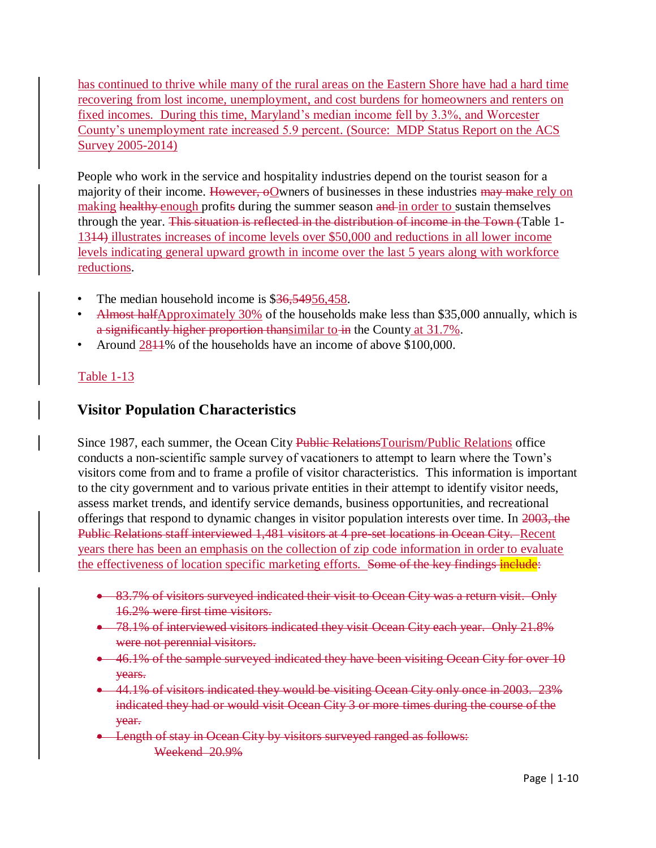has continued to thrive while many of the rural areas on the Eastern Shore have had a hard time recovering from lost income, unemployment, and cost burdens for homeowners and renters on fixed incomes. During this time, Maryland's median income fell by 3.3%, and Worcester County's unemployment rate increased 5.9 percent. (Source: MDP Status Report on the ACS Survey 2005-2014)

People who work in the service and hospitality industries depend on the tourist season for a majority of their income. However, oOwners of businesses in these industries may make rely on making healthy enough profits during the summer season and in order to sustain themselves through the year. This situation is reflected in the distribution of income in the Town (Table 1- 1314) illustrates increases of income levels over \$50,000 and reductions in all lower income levels indicating general upward growth in income over the last 5 years along with workforce reductions.

- The median household income is \$36,54956,458.
- Almost halfApproximately 30% of the households make less than \$35,000 annually, which is a significantly higher proportion thansimilar to in the County at 31.7%.
- Around 2811% of the households have an income of above \$100,000.

#### Table 1-13

## **Visitor Population Characteristics**

Since 1987, each summer, the Ocean City Public RelationsTourism/Public Relations office conducts a non-scientific sample survey of vacationers to attempt to learn where the Town's visitors come from and to frame a profile of visitor characteristics. This information is important to the city government and to various private entities in their attempt to identify visitor needs, assess market trends, and identify service demands, business opportunities, and recreational offerings that respond to dynamic changes in visitor population interests over time. In 2003, the Public Relations staff interviewed 1,481 visitors at 4 pre-set locations in Ocean City. Recent years there has been an emphasis on the collection of zip code information in order to evaluate the effectiveness of location specific marketing efforts. Some of the key findings include:

- 83.7% of visitors surveyed indicated their visit to Ocean City was a return visit. Only 16.2% were first time visitors.
- 78.1% of interviewed visitors indicated they visit Ocean City each year. Only 21.8% were not perennial visitors.
- 46.1% of the sample surveyed indicated they have been visiting Ocean City for over 10 years.
- 44.1% of visitors indicated they would be visiting Ocean City only once in 2003. 23% indicated they had or would visit Ocean City 3 or more times during the course of the year.
- **Example 1** Length of stay in Ocean City by visitors surveyed ranged as follows: Weekend 20.9%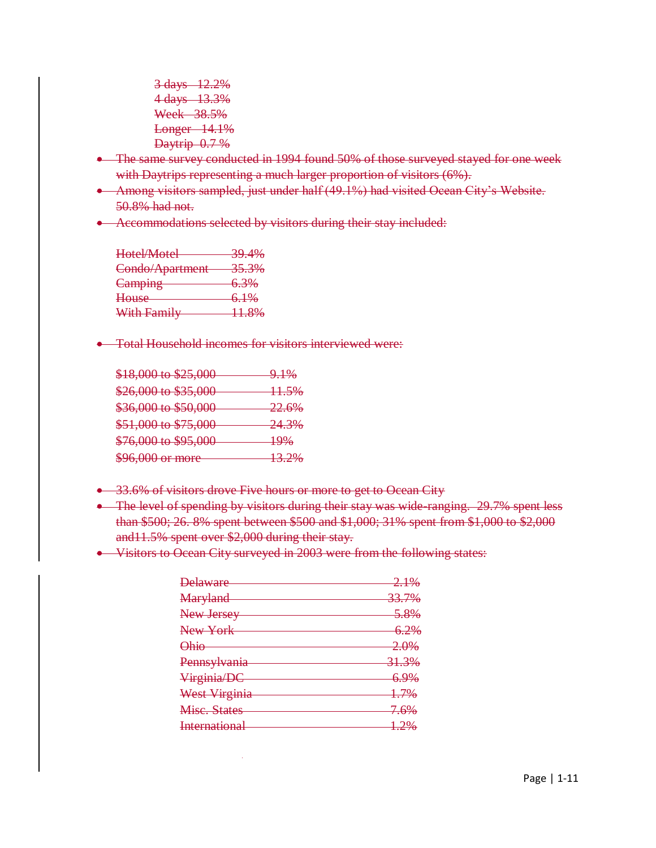3 days 12.2% 4 days 13.3% Week 38.5% Longer 14.1% Daytrip 0.7 %

- The same survey conducted in 1994 found 50% of those surveyed stayed for one week with Daytrips representing a much larger proportion of visitors (6%).
- Among visitors sampled, just under half (49.1%) had visited Ocean City's Website. 50.8% had not.
- Accommodations selected by visitors during their stay included:

| Hotel/Motel     | <del>39.4%</del> |
|-----------------|------------------|
| Condo/Apartment | <del>35.3%</del> |
| Camping         | 6.3%             |
| House           | 6.1%             |
| With Family     | 11.8%            |

**•** Total Household incomes for visitors interviewed were:

| \$18,000 to \$25,000                              | <del>9.1%</del>  |
|---------------------------------------------------|------------------|
| \$26,000 to \$35,000                              | <del>11.5%</del> |
| \$36,000 to \$50,000                              | <del>22.6%</del> |
| \$51,000 to \$75,000                              | <del>24.3%</del> |
| $P7600 + 20500$<br><del>470,000 to \$99,000</del> | <del>19%</del>   |
| \$96,000 or more                                  | 13.20%<br>13.270 |

- 33.6% of visitors drove Five hours or more to get to Ocean City
- The level of spending by visitors during their stay was wide-ranging. 29.7% spent less than \$500; 26. 8% spent between \$500 and \$1,000; 31% spent from \$1,000 to \$2,000 and11.5% spent over \$2,000 during their stay.
- Visitors to Ocean City surveyed in 2003 were from the following states:

| <b>Delaware</b>                       | $2.1\%$          |
|---------------------------------------|------------------|
| Maryland                              | <del>33.7%</del> |
| New Jersey                            | 5.8%             |
| New York                              | <del>6.2%</del>  |
| <b>Ohio</b>                           | 2.0%             |
| Pennsylvania                          | 31.3%            |
| Virginia/DC                           | 6.9%             |
| West Virginia                         | 1.7%             |
| Mise. States                          | <del>7.6%</del>  |
| International<br>,,,,,,,,,,,,,,,,,,,, | 1.2%             |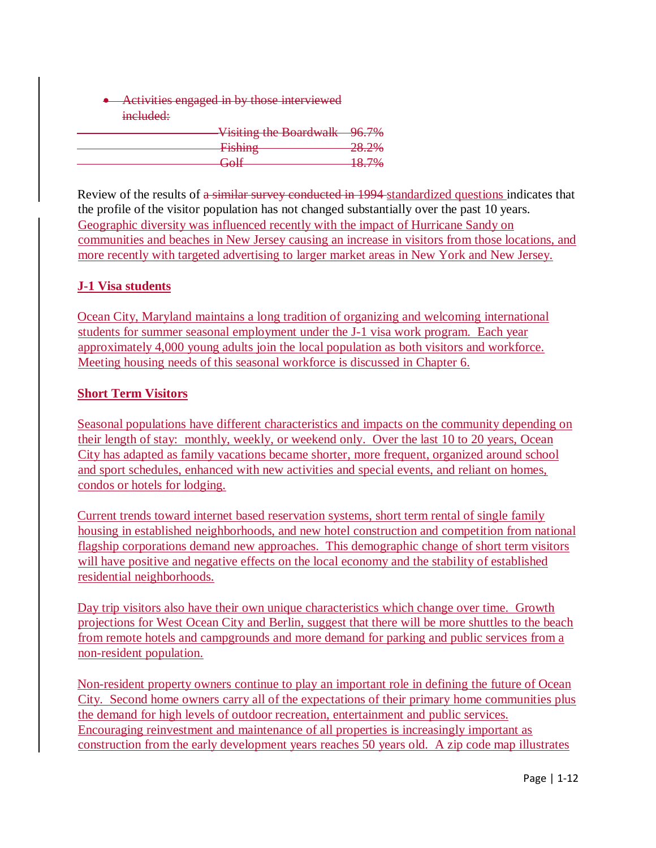**Activities engaged in by those interviewed** included:

| Visiting the Boardwalk 96.7% |        |
|------------------------------|--------|
| Fichina                      | 20 20Y |
| <del>T ISHIHZ</del>          | 20.270 |
| $C_0$                        | 18.70% |
| <del>ovn</del>               | 10.770 |

Review of the results of a similar survey conducted in 1994 standardized questions indicates that the profile of the visitor population has not changed substantially over the past 10 years. Geographic diversity was influenced recently with the impact of Hurricane Sandy on communities and beaches in New Jersey causing an increase in visitors from those locations, and more recently with targeted advertising to larger market areas in New York and New Jersey.

#### **J-1 Visa students**

Ocean City, Maryland maintains a long tradition of organizing and welcoming international students for summer seasonal employment under the J-1 visa work program. Each year approximately 4,000 young adults join the local population as both visitors and workforce. Meeting housing needs of this seasonal workforce is discussed in Chapter 6.

#### **Short Term Visitors**

Seasonal populations have different characteristics and impacts on the community depending on their length of stay: monthly, weekly, or weekend only. Over the last 10 to 20 years, Ocean City has adapted as family vacations became shorter, more frequent, organized around school and sport schedules, enhanced with new activities and special events, and reliant on homes, condos or hotels for lodging.

Current trends toward internet based reservation systems, short term rental of single family housing in established neighborhoods, and new hotel construction and competition from national flagship corporations demand new approaches. This demographic change of short term visitors will have positive and negative effects on the local economy and the stability of established residential neighborhoods.

Day trip visitors also have their own unique characteristics which change over time. Growth projections for West Ocean City and Berlin, suggest that there will be more shuttles to the beach from remote hotels and campgrounds and more demand for parking and public services from a non-resident population.

Non-resident property owners continue to play an important role in defining the future of Ocean City. Second home owners carry all of the expectations of their primary home communities plus the demand for high levels of outdoor recreation, entertainment and public services. Encouraging reinvestment and maintenance of all properties is increasingly important as construction from the early development years reaches 50 years old. A zip code map illustrates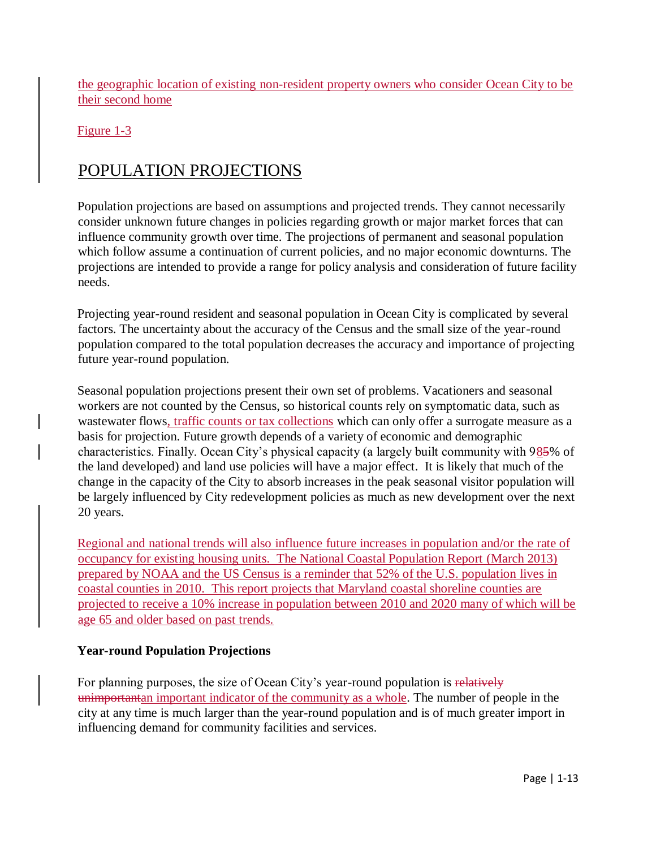the geographic location of existing non-resident property owners who consider Ocean City to be their second home

Figure 1-3

# POPULATION PROJECTIONS

Population projections are based on assumptions and projected trends. They cannot necessarily consider unknown future changes in policies regarding growth or major market forces that can influence community growth over time. The projections of permanent and seasonal population which follow assume a continuation of current policies, and no major economic downturns. The projections are intended to provide a range for policy analysis and consideration of future facility needs.

Projecting year-round resident and seasonal population in Ocean City is complicated by several factors. The uncertainty about the accuracy of the Census and the small size of the year-round population compared to the total population decreases the accuracy and importance of projecting future year-round population.

Seasonal population projections present their own set of problems. Vacationers and seasonal workers are not counted by the Census, so historical counts rely on symptomatic data, such as wastewater flows, traffic counts or tax collections which can only offer a surrogate measure as a basis for projection. Future growth depends of a variety of economic and demographic characteristics. Finally. Ocean City's physical capacity (a largely built community with 985% of the land developed) and land use policies will have a major effect. It is likely that much of the change in the capacity of the City to absorb increases in the peak seasonal visitor population will be largely influenced by City redevelopment policies as much as new development over the next 20 years.

Regional and national trends will also influence future increases in population and/or the rate of occupancy for existing housing units. The National Coastal Population Report (March 2013) prepared by NOAA and the US Census is a reminder that 52% of the U.S. population lives in coastal counties in 2010. This report projects that Maryland coastal shoreline counties are projected to receive a 10% increase in population between 2010 and 2020 many of which will be age 65 and older based on past trends.

#### **Year-round Population Projections**

For planning purposes, the size of Ocean City's year-round population is relatively unimportantan important indicator of the community as a whole. The number of people in the city at any time is much larger than the year-round population and is of much greater import in influencing demand for community facilities and services.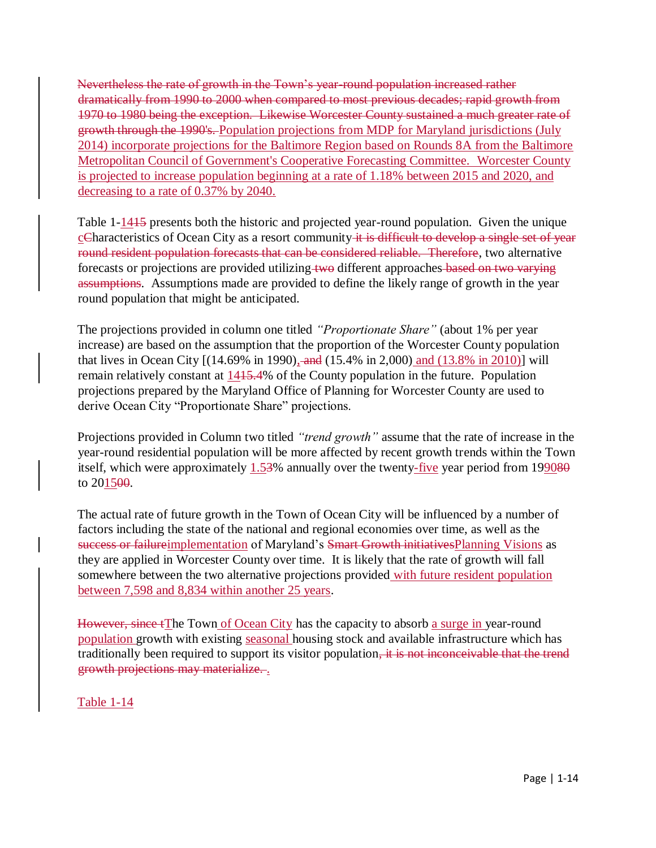Nevertheless the rate of growth in the Town's year-round population increased rather dramatically from 1990 to 2000 when compared to most previous decades; rapid growth from 1970 to 1980 being the exception. Likewise Worcester County sustained a much greater rate of growth through the 1990's. Population projections from MDP for Maryland jurisdictions (July 2014) incorporate projections for the Baltimore Region based on Rounds 8A from the Baltimore Metropolitan Council of Government's Cooperative Forecasting Committee. Worcester County is projected to increase population beginning at a rate of 1.18% between 2015 and 2020, and decreasing to a rate of 0.37% by 2040.

Table 1-1415 presents both the historic and projected year-round population. Given the unique cCharacteristics of Ocean City as a resort community it is difficult to develop a single set of year round resident population forecasts that can be considered reliable. Therefore, two alternative forecasts or projections are provided utilizing two different approaches based on two varying assumptions. Assumptions made are provided to define the likely range of growth in the year round population that might be anticipated.

The projections provided in column one titled *"Proportionate Share"* (about 1% per year increase) are based on the assumption that the proportion of the Worcester County population that lives in Ocean City [(14.69% in 1990), and (15.4% in 2,000) and (13.8% in 2010)] will remain relatively constant at  $1415.4\%$  of the County population in the future. Population projections prepared by the Maryland Office of Planning for Worcester County are used to derive Ocean City "Proportionate Share" projections.

Projections provided in Column two titled *"trend growth"* assume that the rate of increase in the year-round residential population will be more affected by recent growth trends within the Town itself, which were approximately 1.53% annually over the twenty-five year period from 199080 to 201500.

The actual rate of future growth in the Town of Ocean City will be influenced by a number of factors including the state of the national and regional economies over time, as well as the success or failureimplementation of Maryland's Smart Growth initiatives Planning Visions as they are applied in Worcester County over time. It is likely that the rate of growth will fall somewhere between the two alternative projections provided with future resident population between 7,598 and 8,834 within another 25 years.

However, since tThe Town of Ocean City has the capacity to absorb a surge in year-round population growth with existing seasonal housing stock and available infrastructure which has traditionally been required to support its visitor population, it is not inconceivable that the trend growth projections may materialize. .

Table 1-14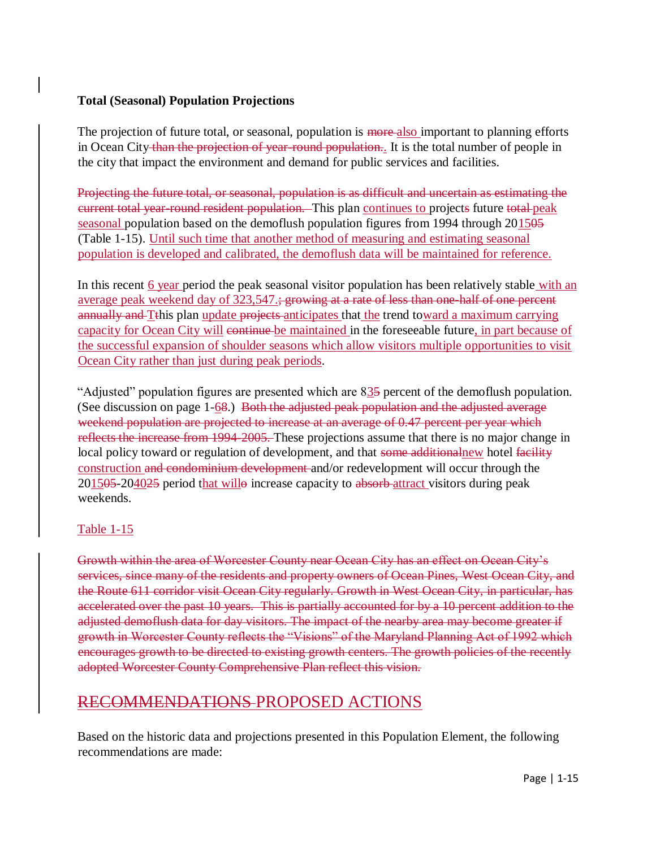#### **Total (Seasonal) Population Projections**

The projection of future total, or seasonal, population is more also important to planning efforts in Ocean City than the projection of year-round population.. It is the total number of people in the city that impact the environment and demand for public services and facilities.

Projecting the future total, or seasonal, population is as difficult and uncertain as estimating the current total year-round resident population. This plan continues to projects future total peak seasonal population based on the demoflush population figures from 1994 through 201505 (Table 1-15). Until such time that another method of measuring and estimating seasonal population is developed and calibrated, the demoflush data will be maintained for reference.

In this recent 6 year period the peak seasonal visitor population has been relatively stable with an average peak weekend day of 323,547.; growing at a rate of less than one-half of one percent annually and Tthis plan update projects anticipates that the trend toward a maximum carrying capacity for Ocean City will continue be maintained in the foreseeable future, in part because of the successful expansion of shoulder seasons which allow visitors multiple opportunities to visit Ocean City rather than just during peak periods.

"Adjusted" population figures are presented which are 835 percent of the demoflush population. (See discussion on page 1-68.) Both the adjusted peak population and the adjusted average weekend population are projected to increase at an average of 0.47 percent per year which reflects the increase from 1994-2005. These projections assume that there is no major change in local policy toward or regulation of development, and that some additionalnew hotel facility construction and condominium development and/or redevelopment will occur through the 201505-204025 period that willo increase capacity to absorb-attract visitors during peak weekends.

#### Table 1-15

Growth within the area of Worcester County near Ocean City has an effect on Ocean City's services, since many of the residents and property owners of Ocean Pines, West Ocean City, and the Route 611 corridor visit Ocean City regularly. Growth in West Ocean City, in particular, has accelerated over the past 10 years. This is partially accounted for by a 10 percent addition to the adjusted demoflush data for day visitors. The impact of the nearby area may become greater if growth in Worcester County reflects the "Visions" of the Maryland Planning Act of 1992 which encourages growth to be directed to existing growth centers. The growth policies of the recently adopted Worcester County Comprehensive Plan reflect this vision.

# RECOMMENDATIONS PROPOSED ACTIONS

Based on the historic data and projections presented in this Population Element, the following recommendations are made: